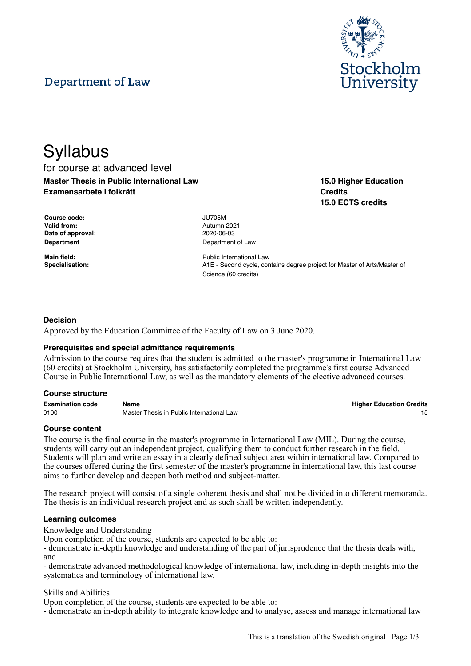# Department of Law



**15.0 Higher Education**

**15.0 ECTS credits**

**Credits**

# **Syllabus** for course at advanced level **Master Thesis in Public International Law Examensarbete i folkrätt**

**Course code:** JU705M **Valid from:** Autumn 2021 **Date of approval:** 2020-06-03

**Department** Department of Law

**Main field: Main field:** Public International Law **Specialisation:** A1E - Second cycle, contains degree project for Master of Arts/Master of Science (60 credits)

# **Decision**

Approved by the Education Committee of the Faculty of Law on 3 June 2020.

#### **Prerequisites and special admittance requirements**

Admission to the course requires that the student is admitted to the master's programme in International Law (60 credits) at Stockholm University, has satisfactorily completed the programme's first course Advanced Course in Public International Law, as well as the mandatory elements of the elective advanced courses.

#### **Course structure**

**Examination code Name Higher Education Credits** 0100 **Master Thesis in Public International Law** 15

#### **Course content**

The course is the final course in the master's programme in International Law (MIL). During the course, students will carry out an independent project, qualifying them to conduct further research in the field. Students will plan and write an essay in a clearly defined subject area within international law. Compared to the courses offered during the first semester of the master's programme in international law, this last course aims to further develop and deepen both method and subject-matter.

The research project will consist of a single coherent thesis and shall not be divided into different memoranda. The thesis is an individual research project and as such shall be written independently.

#### **Learning outcomes**

Knowledge and Understanding

Upon completion of the course, students are expected to be able to:

- demonstrate in-depth knowledge and understanding of the part of jurisprudence that the thesis deals with, and

- demonstrate advanced methodological knowledge of international law, including in-depth insights into the systematics and terminology of international law.

Skills and Abilities

Upon completion of the course, students are expected to be able to:

- demonstrate an in-depth ability to integrate knowledge and to analyse, assess and manage international law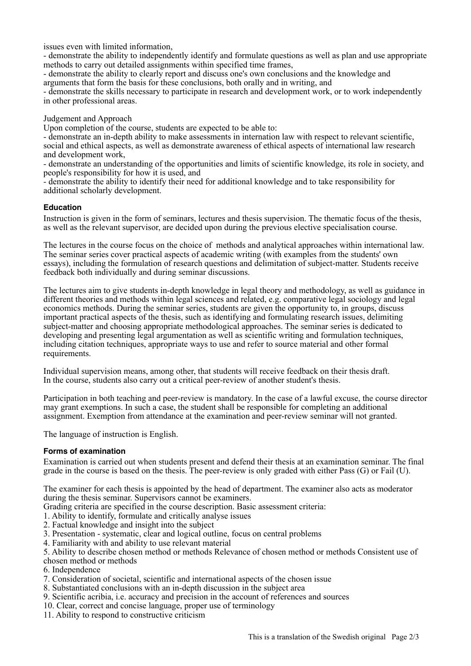issues even with limited information,

- demonstrate the ability to independently identify and formulate questions as well as plan and use appropriate methods to carry out detailed assignments within specified time frames,

- demonstrate the ability to clearly report and discuss one's own conclusions and the knowledge and arguments that form the basis for these conclusions, both orally and in writing, and

- demonstrate the skills necessary to participate in research and development work, or to work independently in other professional areas.

Judgement and Approach

Upon completion of the course, students are expected to be able to:

- demonstrate an in-depth ability to make assessments in internation law with respect to relevant scientific, social and ethical aspects, as well as demonstrate awareness of ethical aspects of international law research and development work,

- demonstrate an understanding of the opportunities and limits of scientific knowledge, its role in society, and people's responsibility for how it is used, and

- demonstrate the ability to identify their need for additional knowledge and to take responsibility for additional scholarly development.

# **Education**

Instruction is given in the form of seminars, lectures and thesis supervision. The thematic focus of the thesis, as well as the relevant supervisor, are decided upon during the previous elective specialisation course.

The lectures in the course focus on the choice of methods and analytical approaches within international law. The seminar series cover practical aspects of academic writing (with examples from the students' own essays), including the formulation of research questions and delimitation of subject-matter. Students receive feedback both individually and during seminar discussions.

The lectures aim to give students in-depth knowledge in legal theory and methodology, as well as guidance in different theories and methods within legal sciences and related, e.g. comparative legal sociology and legal economics methods. During the seminar series, students are given the opportunity to, in groups, discuss important practical aspects of the thesis, such as identifying and formulating research issues, delimiting subject-matter and choosing appropriate methodological approaches. The seminar series is dedicated to developing and presenting legal argumentation as well as scientific writing and formulation techniques, including citation techniques, appropriate ways to use and refer to source material and other formal requirements.

Individual supervision means, among other, that students will receive feedback on their thesis draft. In the course, students also carry out a critical peer-review of another student's thesis.

Participation in both teaching and peer-review is mandatory. In the case of a lawful excuse, the course director may grant exemptions. In such a case, the student shall be responsible for completing an additional assignment. Exemption from attendance at the examination and peer-review seminar will not granted.

The language of instruction is English.

# **Forms of examination**

Examination is carried out when students present and defend their thesis at an examination seminar. The final grade in the course is based on the thesis. The peer-review is only graded with either Pass (G) or Fail (U).

The examiner for each thesis is appointed by the head of department. The examiner also acts as moderator during the thesis seminar. Supervisors cannot be examiners.

Grading criteria are specified in the course description. Basic assessment criteria:

1. Ability to identify, formulate and critically analyse issues

- 2. Factual knowledge and insight into the subject
- 3. Presentation systematic, clear and logical outline, focus on central problems
- 4. Familiarity with and ability to use relevant material

5. Ability to describe chosen method or methods Relevance of chosen method or methods Consistent use of chosen method or methods

- 6. Independence
- 7. Consideration of societal, scientific and international aspects of the chosen issue
- 8. Substantiated conclusions with an in-depth discussion in the subject area
- 9. Scientific acribia, i.e. accuracy and precision in the account of references and sources
- 10. Clear, correct and concise language, proper use of terminology
- 11. Ability to respond to constructive criticism